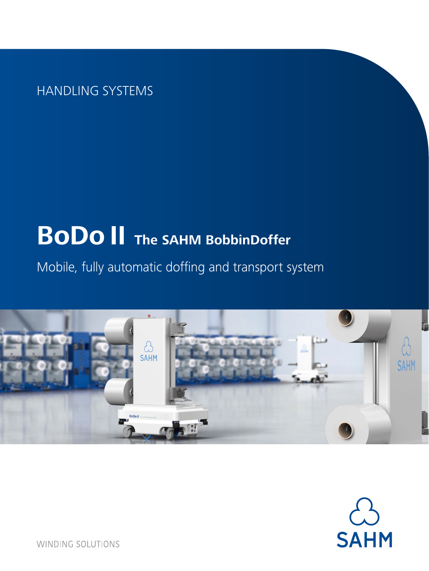HANDLING SYSTEMS

# **BoDo II The SAHM BobbinDoffer**

Mobile, fully automatic doffing and transport system





**WINDING SOLUTIONS**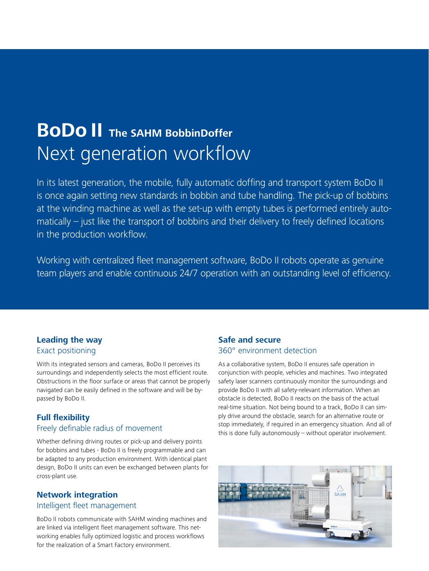## **BoDo II The SAHM BobbinDoffer**  Next generation workflow

In its latest generation, the mobile, fully automatic doffing and transport system BoDo II is once again setting new standards in bobbin and tube handling. The pick-up of bobbins at the winding machine as well as the set-up with empty tubes is performed entirely automatically – just like the transport of bobbins and their delivery to freely defined locations in the production workflow.

Working with centralized fleet management software, BoDo II robots operate as genuine team players and enable continuous 24/7 operation with an outstanding level of efficiency.

#### **Leading the way** Exact positioning

With its integrated sensors and cameras, BoDo II perceives its surroundings and independently selects the most efficient route. Obstructions in the floor surface or areas that cannot be properly navigated can be easily defined in the software and will be bypassed by BoDo II.

#### **Full flexibility**

#### Freely definable radius of movement

Whether defining driving routes or pick-up and delivery points for bobbins and tubes - BoDo II is freely programmable and can be adapted to any production environment. With identical plant design, BoDo II units can even be exchanged between plants for cross-plant use.

### **Network integration**

#### Intelligent fleet management

BoDo II robots communicate with SAHM winding machines and are linked via intelligent fleet management software. This networking enables fully optimized logistic and process workflows for the realization of a Smart Factory environment.

#### **Safe and secure** 360° environment detection

As a collaborative system, BoDo II ensures safe operation in conjunction with people, vehicles and machines. Two integrated safety laser scanners continuously monitor the surroundings and provide BoDo II with all safety-relevant information. When an obstacle is detected, BoDo II reacts on the basis of the actual real-time situation. Not being bound to a track, BoDo II can simply drive around the obstacle, search for an alternative route or stop immediately, if required in an emergency situation. And all of this is done fully autonomously – without operator involvement.

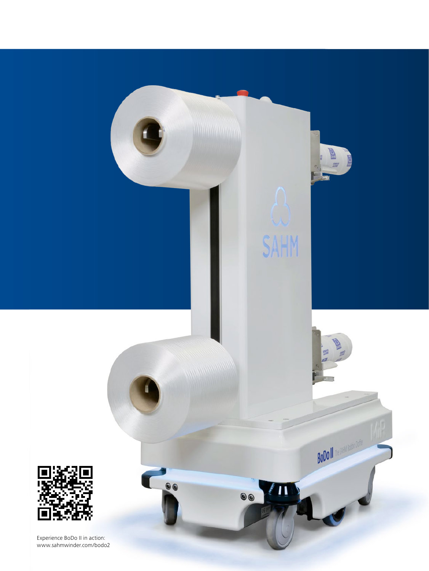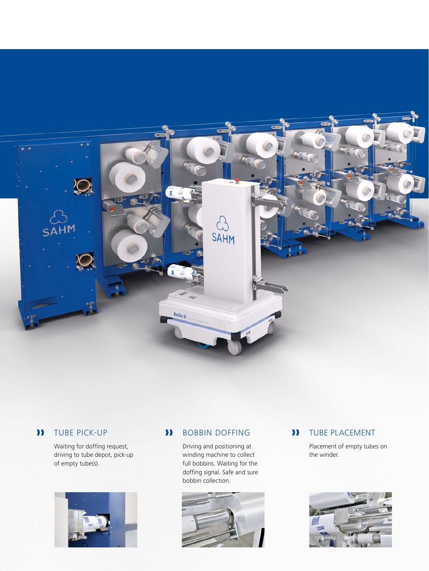

#### ❱❱TUBE PICK-UP

Waiting for doffing request, driving to tube depot, pick-up of empty tube(s).



#### ❱❱ BOBBIN DOFFING

Driving and positioning at winding machine to collect full bobbins. Waiting for the doffing signal. Safe and sure bobbin collection.



#### ❱❱ TUBE PLACEMENT

Placement of empty tubes on the winder.

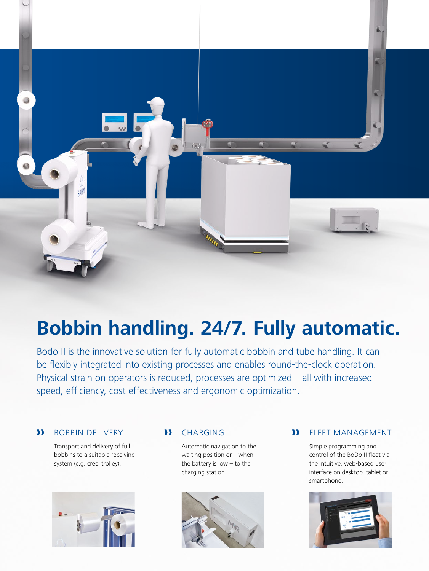

## **Bobbin handling. 24/7. Fully automatic.**

Bodo II is the innovative solution for fully automatic bobbin and tube handling. It can be flexibly integrated into existing processes and enables round-the-clock operation. Physical strain on operators is reduced, processes are optimized – all with increased speed, efficiency, cost-effectiveness and ergonomic optimization.

#### ❱❱ BOBBIN DELIVERY

Transport and delivery of full bobbins to a suitable receiving system (e.g. creel trolley).



#### ❱❱ CHARGING

Automatic navigation to the waiting position or – when the battery is low – to the charging station.



### ❱❱ FLEET MANAGEMENT

Simple programming and control of the BoDo II fleet via the intuitive, web-based user interface on desktop, tablet or smartphone.

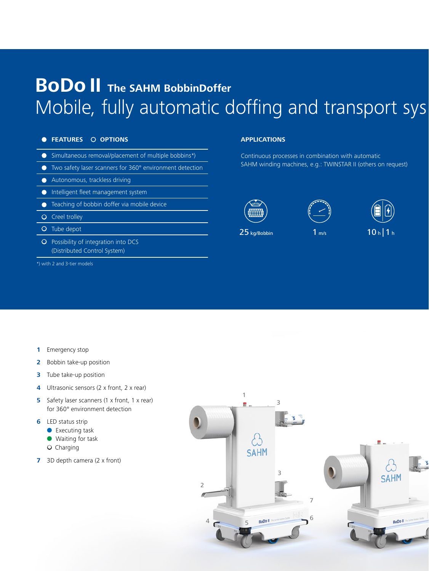## **BoDo II The SAHM BobbinDoffer**  Mobile, fully automatic doffing and transport system.

#### **e** FEATURES O OPTIONS

- Simultaneous removal/placement of multiple bobbins\*)
- l Two safety laser scanners for 360° environment detection
- **Autonomous, trackless driving**
- **Intelligent fleet management system**
- **•** Teaching of bobbin doffer via mobile device
- **O** Creel trolley
- O Tube depot
- O Possibility of integration into DCS (Distributed Control System)

\*) with 2 and 3-tier models

#### **APPLICATIONS**

Continuous processes in combination with automatic SAHM winding machines, e.g.: TWINSTAR II (others on request)







 $25$  kg/Bobbin 1 m/s 10 h | 1 h

**1** Emergency stop

- **2** Bobbin take-up position
- **3** Tube take-up position
- **4** Ultrasonic sensors (2 x front, 2 x rear)
- **5** Safety laser scanners (1 x front, 1 x rear) for 360° environment detection
- **6** LED status strip
	- $\bullet$  Executing task
	- **I** Waiting for task
	- O Charging
- **7** 3D depth camera (2 x front)

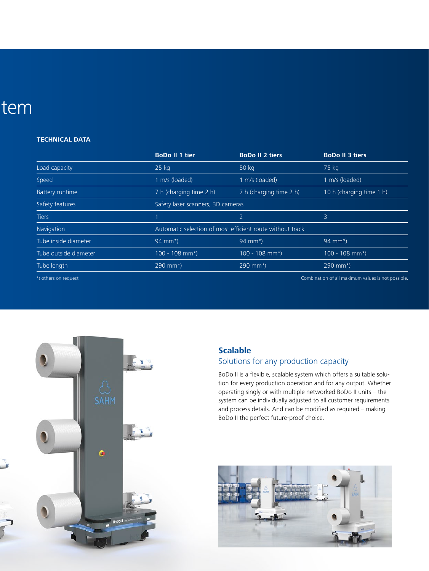## tem

#### **TECHNICAL DATA**

|                        | <b>BoDo II 1 tier</b>                                     | <b>BoDo II 2 tiers</b>  | <b>BoDo II 3 tiers</b>                             |
|------------------------|-----------------------------------------------------------|-------------------------|----------------------------------------------------|
| Load capacity          | $25$ kg                                                   | 50 kg                   | $75$ kg                                            |
| Speed                  | 1 m/s (loaded)                                            | 1 m/s (loaded)          | 1 m/s (loaded)                                     |
| <b>Battery runtime</b> | 7 h (charging time 2 h)                                   | 7 h (charging time 2 h) | 10 h (charging time 1 h)                           |
| Safety features        | Safety laser scanners, 3D cameras                         |                         |                                                    |
| <b>Tiers</b>           |                                                           | $\overline{2}$          | 3                                                  |
| Navigation             | Automatic selection of most efficient route without track |                         |                                                    |
| Tube inside diameter   | 94 mm*)                                                   | $94$ mm*)               | 94 mm*)                                            |
| Tube outside diameter  | $100 - 108$ mm*)                                          | $100 - 108$ mm*)        | $100 - 108$ mm*)                                   |
| Tube length            | 290 mm*)                                                  | $290$ mm*)              | 290 mm*)                                           |
| *) others on request   |                                                           |                         | Combination of all maximum values is not possible. |

 $\overline{\mathbf{s}}$  $\overline{\mathbf{c}}$ 

### **Scalable**

### Solutions for any production capacity

BoDo II is a flexible, scalable system which offers a suitable solution for every production operation and for any output. Whether operating singly or with multiple networked BoDo II units – the system can be individually adjusted to all customer requirements and process details. And can be modified as required – making BoDo II the perfect future-proof choice.